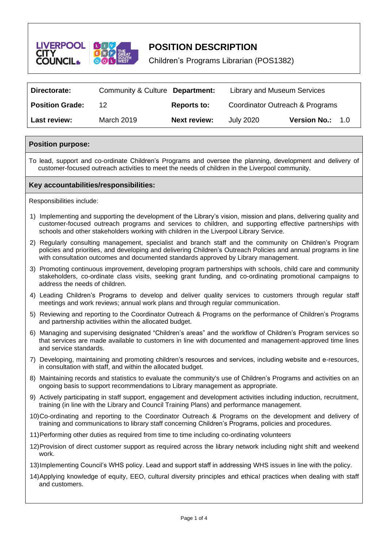

# **POSITION DESCRIPTION**

Children's Programs Librarian (POS1382)

| Directorate:           | Community & Culture Department: |                     | Library and Museum Services     |                            |
|------------------------|---------------------------------|---------------------|---------------------------------|----------------------------|
| <b>Position Grade:</b> | 12                              | <b>Reports to:</b>  | Coordinator Outreach & Programs |                            |
| Last review:           | March 2019                      | <b>Next review:</b> | July 2020                       | <b>Version No.:</b><br>1.0 |

## **Position purpose:**

To lead, support and co-ordinate Children's Programs and oversee the planning, development and delivery of customer-focused outreach activities to meet the needs of children in the Liverpool community.

### **Key accountabilities/responsibilities:**

Responsibilities include:

- 1) Implementing and supporting the development of the Library's vision, mission and plans, delivering quality and customer-focused outreach programs and services to children, and supporting effective partnerships with schools and other stakeholders working with children in the Liverpool Library Service.
- 2) Regularly consulting management, specialist and branch staff and the community on Children's Program policies and priorities, and developing and delivering Children's Outreach Policies and annual programs in line with consultation outcomes and documented standards approved by Library management.
- 3) Promoting continuous improvement, developing program partnerships with schools, child care and community stakeholders, co-ordinate class visits, seeking grant funding, and co-ordinating promotional campaigns to address the needs of children.
- 4) Leading Children's Programs to develop and deliver quality services to customers through regular staff meetings and work reviews; annual work plans and through regular communication.
- 5) Reviewing and reporting to the Coordinator Outreach & Programs on the performance of Children's Programs and partnership activities within the allocated budget.
- 6) Managing and supervising designated "Children's areas" and the workflow of Children's Program services so that services are made available to customers in line with documented and management-approved time lines and service standards.
- 7) Developing, maintaining and promoting children's resources and services, including website and e-resources, in consultation with staff, and within the allocated budget.
- 8) Maintaining records and statistics to evaluate the community's use of Children's Programs and activities on an ongoing basis to support recommendations to Library management as appropriate.
- 9) Actively participating in staff support, engagement and development activities including induction, recruitment, training (in line with the Library and Council Training Plans) and performance management.
- 10)Co-ordinating and reporting to the Coordinator Outreach & Programs on the development and delivery of training and communications to library staff concerning Children's Programs, policies and procedures.
- 11)Performing other duties as required from time to time including co-ordinating volunteers
- 12)Provision of direct customer support as required across the library network including night shift and weekend work.
- 13)Implementing Council's WHS policy. Lead and support staff in addressing WHS issues in line with the policy.
- 14)Applying knowledge of equity, EEO, cultural diversity principles and ethical practices when dealing with staff and customers.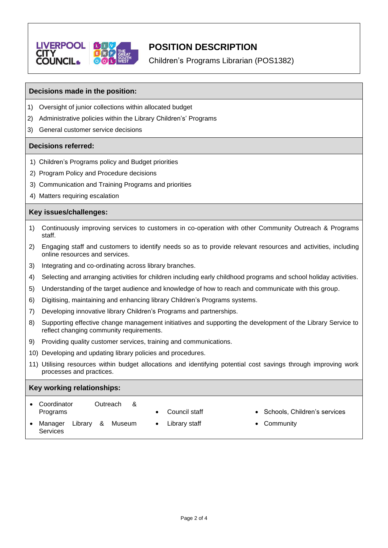

# **POSITION DESCRIPTION**

Children's Programs Librarian (POS1382)

## **Decisions made in the position:**

- 1) Oversight of junior collections within allocated budget
- 2) Administrative policies within the Library Children's' Programs
- 3) General customer service decisions

## **Decisions referred:**

- 1) Children's Programs policy and Budget priorities
- 2) Program Policy and Procedure decisions
- 3) Communication and Training Programs and priorities
- 4) Matters requiring escalation

## **Key issues/challenges:**

- 1) Continuously improving services to customers in co-operation with other Community Outreach & Programs staff.
- 2) Engaging staff and customers to identify needs so as to provide relevant resources and activities, including online resources and services.
- 3) Integrating and co-ordinating across library branches.
- 4) Selecting and arranging activities for children including early childhood programs and school holiday activities.
- 5) Understanding of the target audience and knowledge of how to reach and communicate with this group.
- 6) Digitising, maintaining and enhancing library Children's Programs systems.
- 7) Developing innovative library Children's Programs and partnerships.
- 8) Supporting effective change management initiatives and supporting the development of the Library Service to reflect changing community requirements.
- 9) Providing quality customer services, training and communications.
- 10) Developing and updating library policies and procedures.
- 11) Utilising resources within budget allocations and identifying potential cost savings through improving work processes and practices.

## **Key working relationships:**

| Coordinator<br>Programs        | Outreach<br>- & | Council staff      | • Schools, Children's services |
|--------------------------------|-----------------|--------------------|--------------------------------|
| Librarv<br>Manager<br>Services | Museum<br>&     | Library staff<br>٠ | • Community                    |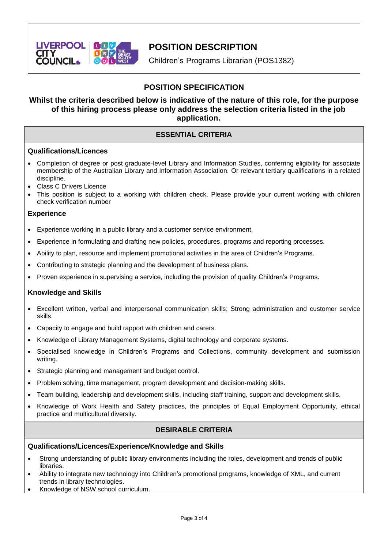

## **POSITION DESCRIPTION**

Children's Programs Librarian (POS1382)

## **POSITION SPECIFICATION**

## **Whilst the criteria described below is indicative of the nature of this role, for the purpose of this hiring process please only address the selection criteria listed in the job application.**

## **ESSENTIAL CRITERIA**

## **Qualifications/Licences**

- Completion of degree or post graduate-level Library and Information Studies, conferring eligibility for associate membership of the Australian Library and Information Association. Or relevant tertiary qualifications in a related discipline.
- Class C Drivers Licence
- This position is subject to a working with children check. Please provide your current working with children check verification number

## **Experience**

- Experience working in a public library and a customer service environment.
- Experience in formulating and drafting new policies, procedures, programs and reporting processes.
- Ability to plan, resource and implement promotional activities in the area of Children's Programs.
- Contributing to strategic planning and the development of business plans.
- Proven experience in supervising a service, including the provision of quality Children's Programs.

## **Knowledge and Skills**

- Excellent written, verbal and interpersonal communication skills; Strong administration and customer service skills.
- Capacity to engage and build rapport with children and carers.
- Knowledge of Library Management Systems, digital technology and corporate systems.
- Specialised knowledge in Children's Programs and Collections, community development and submission writing.
- Strategic planning and management and budget control.
- Problem solving, time management, program development and decision-making skills.
- Team building, leadership and development skills, including staff training, support and development skills.
- Knowledge of Work Health and Safety practices, the principles of Equal Employment Opportunity, ethical practice and multicultural diversity.

## **DESIRABLE CRITERIA**

### **Qualifications/Licences/Experience/Knowledge and Skills**

- Strong understanding of public library environments including the roles, development and trends of public libraries.
- Ability to integrate new technology into Children's promotional programs, knowledge of XML, and current trends in library technologies.
- Knowledge of NSW school curriculum.